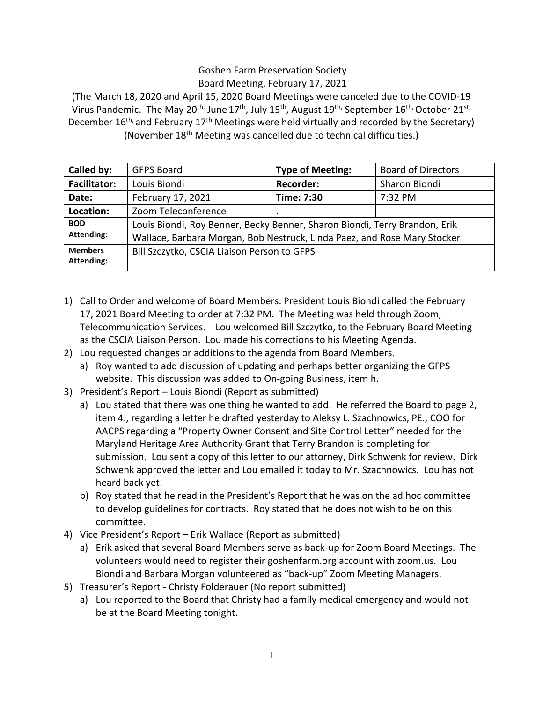## Goshen Farm Preservation Society Board Meeting, February 17, 2021

(The March 18, 2020 and April 15, 2020 Board Meetings were canceled due to the COVID-19 Virus Pandemic. The May 20<sup>th,</sup> June 17<sup>th</sup>, July 15<sup>th</sup>, August 19<sup>th,</sup> September 16<sup>th,</sup> October 21<sup>st,</sup> December 16<sup>th,</sup> and February 17<sup>th</sup> Meetings were held virtually and recorded by the Secretary) (November 18th Meeting was cancelled due to technical difficulties.)

| Called by:                      | <b>GFPS Board</b>                                                                                                                                      | <b>Type of Meeting:</b> | <b>Board of Directors</b> |
|---------------------------------|--------------------------------------------------------------------------------------------------------------------------------------------------------|-------------------------|---------------------------|
| <b>Facilitator:</b>             | Louis Biondi                                                                                                                                           | <b>Recorder:</b>        | Sharon Biondi             |
| Date:                           | February 17, 2021                                                                                                                                      | Time: 7:30              | 7:32 PM                   |
| Location:                       | Zoom Teleconference                                                                                                                                    | ٠                       |                           |
| <b>BOD</b><br><b>Attending:</b> | Louis Biondi, Roy Benner, Becky Benner, Sharon Biondi, Terry Brandon, Erik<br>Wallace, Barbara Morgan, Bob Nestruck, Linda Paez, and Rose Mary Stocker |                         |                           |
| <b>Members</b><br>Attending:    | Bill Szczytko, CSCIA Liaison Person to GFPS                                                                                                            |                         |                           |

- 1) Call to Order and welcome of Board Members. President Louis Biondi called the February 17, 2021 Board Meeting to order at 7:32 PM. The Meeting was held through Zoom, Telecommunication Services. Lou welcomed Bill Szczytko, to the February Board Meeting as the CSCIA Liaison Person. Lou made his corrections to his Meeting Agenda.
- 2) Lou requested changes or additions to the agenda from Board Members.
	- a) Roy wanted to add discussion of updating and perhaps better organizing the GFPS website. This discussion was added to On-going Business, item h.
- 3) President's Report Louis Biondi (Report as submitted)
	- a) Lou stated that there was one thing he wanted to add. He referred the Board to page 2, item 4., regarding a letter he drafted yesterday to Aleksy L. Szachnowics, PE., COO for AACPS regarding a "Property Owner Consent and Site Control Letter" needed for the Maryland Heritage Area Authority Grant that Terry Brandon is completing for submission. Lou sent a copy of this letter to our attorney, Dirk Schwenk for review. Dirk Schwenk approved the letter and Lou emailed it today to Mr. Szachnowics. Lou has not heard back yet.
	- b) Roy stated that he read in the President's Report that he was on the ad hoc committee to develop guidelines for contracts. Roy stated that he does not wish to be on this committee.
- 4) Vice President's Report Erik Wallace (Report as submitted)
	- a) Erik asked that several Board Members serve as back-up for Zoom Board Meetings. The volunteers would need to register their goshenfarm.org account with zoom.us. Lou Biondi and Barbara Morgan volunteered as "back-up" Zoom Meeting Managers.
- 5) Treasurer's Report Christy Folderauer (No report submitted)
	- a) Lou reported to the Board that Christy had a family medical emergency and would not be at the Board Meeting tonight.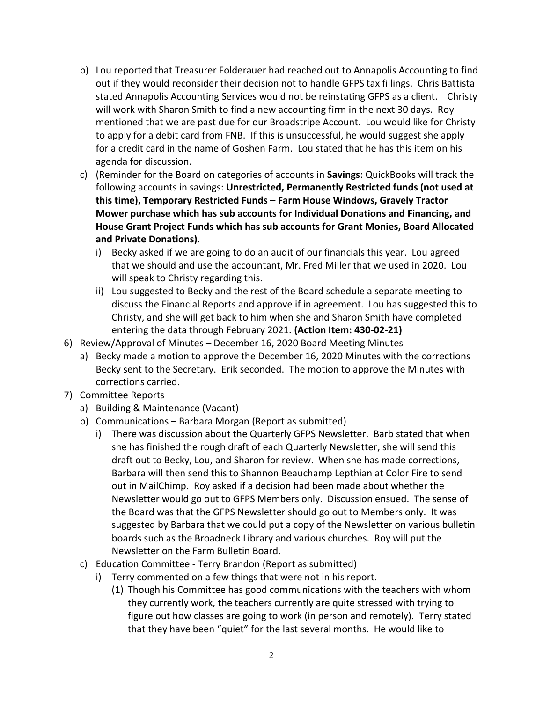- b) Lou reported that Treasurer Folderauer had reached out to Annapolis Accounting to find out if they would reconsider their decision not to handle GFPS tax fillings. Chris Battista stated Annapolis Accounting Services would not be reinstating GFPS as a client. Christy will work with Sharon Smith to find a new accounting firm in the next 30 days. Roy mentioned that we are past due for our Broadstripe Account. Lou would like for Christy to apply for a debit card from FNB. If this is unsuccessful, he would suggest she apply for a credit card in the name of Goshen Farm. Lou stated that he has this item on his agenda for discussion.
- c) (Reminder for the Board on categories of accounts in **Savings**: QuickBooks will track the following accounts in savings: **Unrestricted, Permanently Restricted funds (not used at this time), Temporary Restricted Funds – Farm House Windows, Gravely Tractor Mower purchase which has sub accounts for Individual Donations and Financing, and House Grant Project Funds which has sub accounts for Grant Monies, Board Allocated and Private Donations)**.
	- i) Becky asked if we are going to do an audit of our financials this year. Lou agreed that we should and use the accountant, Mr. Fred Miller that we used in 2020. Lou will speak to Christy regarding this.
	- ii) Lou suggested to Becky and the rest of the Board schedule a separate meeting to discuss the Financial Reports and approve if in agreement. Lou has suggested this to Christy, and she will get back to him when she and Sharon Smith have completed entering the data through February 2021. **(Action Item: 430-02-21)**
- 6) Review/Approval of Minutes December 16, 2020 Board Meeting Minutes
	- a) Becky made a motion to approve the December 16, 2020 Minutes with the corrections Becky sent to the Secretary. Erik seconded. The motion to approve the Minutes with corrections carried.
- 7) Committee Reports
	- a) Building & Maintenance (Vacant)
	- b) Communications Barbara Morgan (Report as submitted)
		- i) There was discussion about the Quarterly GFPS Newsletter. Barb stated that when she has finished the rough draft of each Quarterly Newsletter, she will send this draft out to Becky, Lou, and Sharon for review. When she has made corrections, Barbara will then send this to Shannon Beauchamp Lepthian at Color Fire to send out in MailChimp. Roy asked if a decision had been made about whether the Newsletter would go out to GFPS Members only. Discussion ensued. The sense of the Board was that the GFPS Newsletter should go out to Members only. It was suggested by Barbara that we could put a copy of the Newsletter on various bulletin boards such as the Broadneck Library and various churches. Roy will put the Newsletter on the Farm Bulletin Board.
	- c) Education Committee Terry Brandon (Report as submitted)
		- i) Terry commented on a few things that were not in his report.
			- (1) Though his Committee has good communications with the teachers with whom they currently work, the teachers currently are quite stressed with trying to figure out how classes are going to work (in person and remotely). Terry stated that they have been "quiet" for the last several months. He would like to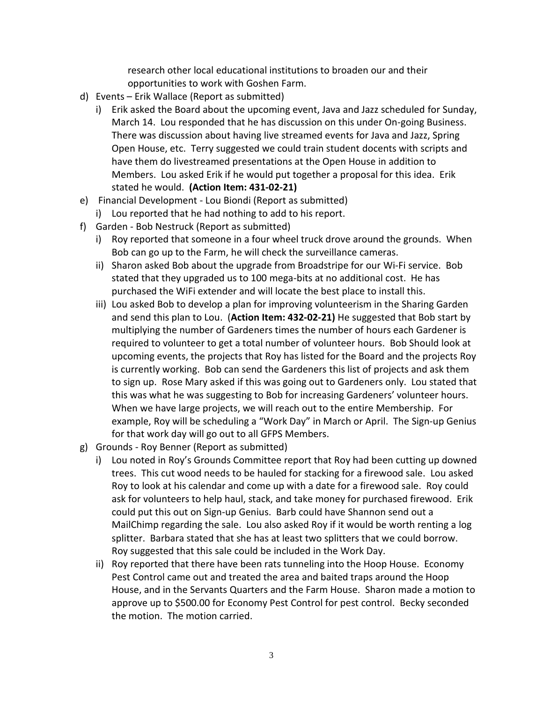research other local educational institutions to broaden our and their opportunities to work with Goshen Farm.

- d) Events Erik Wallace (Report as submitted)
	- i) Erik asked the Board about the upcoming event, Java and Jazz scheduled for Sunday, March 14. Lou responded that he has discussion on this under On-going Business. There was discussion about having live streamed events for Java and Jazz, Spring Open House, etc. Terry suggested we could train student docents with scripts and have them do livestreamed presentations at the Open House in addition to Members. Lou asked Erik if he would put together a proposal for this idea. Erik stated he would. **(Action Item: 431-02-21)**
- e) Financial Development Lou Biondi (Report as submitted)
	- i) Lou reported that he had nothing to add to his report.
- f) Garden Bob Nestruck (Report as submitted)
	- i) Roy reported that someone in a four wheel truck drove around the grounds. When Bob can go up to the Farm, he will check the surveillance cameras.
	- ii) Sharon asked Bob about the upgrade from Broadstripe for our Wi-Fi service. Bob stated that they upgraded us to 100 mega-bits at no additional cost. He has purchased the WiFi extender and will locate the best place to install this.
	- iii) Lou asked Bob to develop a plan for improving volunteerism in the Sharing Garden and send this plan to Lou. (**Action Item: 432-02-21)** He suggested that Bob start by multiplying the number of Gardeners times the number of hours each Gardener is required to volunteer to get a total number of volunteer hours. Bob Should look at upcoming events, the projects that Roy has listed for the Board and the projects Roy is currently working. Bob can send the Gardeners this list of projects and ask them to sign up. Rose Mary asked if this was going out to Gardeners only. Lou stated that this was what he was suggesting to Bob for increasing Gardeners' volunteer hours. When we have large projects, we will reach out to the entire Membership. For example, Roy will be scheduling a "Work Day" in March or April. The Sign-up Genius for that work day will go out to all GFPS Members.
- g) Grounds Roy Benner (Report as submitted)
	- i) Lou noted in Roy's Grounds Committee report that Roy had been cutting up downed trees. This cut wood needs to be hauled for stacking for a firewood sale. Lou asked Roy to look at his calendar and come up with a date for a firewood sale. Roy could ask for volunteers to help haul, stack, and take money for purchased firewood. Erik could put this out on Sign-up Genius. Barb could have Shannon send out a MailChimp regarding the sale. Lou also asked Roy if it would be worth renting a log splitter. Barbara stated that she has at least two splitters that we could borrow. Roy suggested that this sale could be included in the Work Day.
	- ii) Roy reported that there have been rats tunneling into the Hoop House. Economy Pest Control came out and treated the area and baited traps around the Hoop House, and in the Servants Quarters and the Farm House. Sharon made a motion to approve up to \$500.00 for Economy Pest Control for pest control. Becky seconded the motion. The motion carried.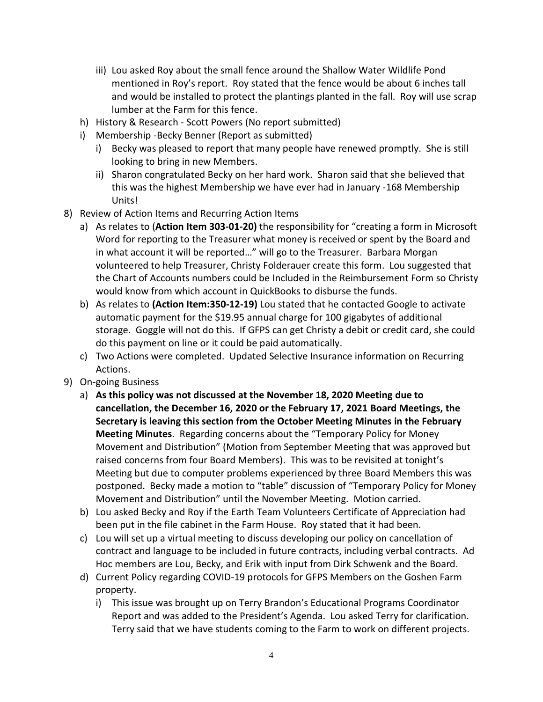- iii) Lou asked Roy about the small fence around the Shallow Water Wildlife Pond mentioned in Roy's report. Roy stated that the fence would be about 6 inches tall and would be installed to protect the plantings planted in the fall. Roy will use scrap lumber at the Farm for this fence.
- h) History & Research Scott Powers (No report submitted)
- i) Membership -Becky Benner (Report as submitted)
	- i) Becky was pleased to report that many people have renewed promptly. She is still looking to bring in new Members.
	- ii) Sharon congratulated Becky on her hard work. Sharon said that she believed that this was the highest Membership we have ever had in January -168 Membership Units!
- 8) Review of Action Items and Recurring Action Items
	- a) As relates to (**Action Item 303-01-20)** the responsibility for "creating a form in Microsoft Word for reporting to the Treasurer what money is received or spent by the Board and in what account it will be reported…" will go to the Treasurer. Barbara Morgan volunteered to help Treasurer, Christy Folderauer create this form. Lou suggested that the Chart of Accounts numbers could be Included in the Reimbursement Form so Christy would know from which account in QuickBooks to disburse the funds.
	- b) As relates to **(Action Item:350-12-19)** Lou stated that he contacted Google to activate automatic payment for the \$19.95 annual charge for 100 gigabytes of additional storage. Goggle will not do this. If GFPS can get Christy a debit or credit card, she could do this payment on line or it could be paid automatically.
	- c) Two Actions were completed. Updated Selective Insurance information on Recurring Actions.
- 9) On-going Business
	- a) **As this policy was not discussed at the November 18, 2020 Meeting due to cancellation, the December 16, 2020 or the February 17, 2021 Board Meetings, the Secretary is leaving this section from the October Meeting Minutes in the February Meeting Minutes**. Regarding concerns about the "Temporary Policy for Money Movement and Distribution" (Motion from September Meeting that was approved but raised concerns from four Board Members). This was to be revisited at tonight's Meeting but due to computer problems experienced by three Board Members this was postponed. Becky made a motion to "table" discussion of "Temporary Policy for Money Movement and Distribution" until the November Meeting. Motion carried.
	- b) Lou asked Becky and Roy if the Earth Team Volunteers Certificate of Appreciation had been put in the file cabinet in the Farm House. Roy stated that it had been.
	- c) Lou will set up a virtual meeting to discuss developing our policy on cancellation of contract and language to be included in future contracts, including verbal contracts. Ad Hoc members are Lou, Becky, and Erik with input from Dirk Schwenk and the Board.
	- d) Current Policy regarding COVID-19 protocols for GFPS Members on the Goshen Farm property.
		- i) This issue was brought up on Terry Brandon's Educational Programs Coordinator Report and was added to the President's Agenda. Lou asked Terry for clarification. Terry said that we have students coming to the Farm to work on different projects.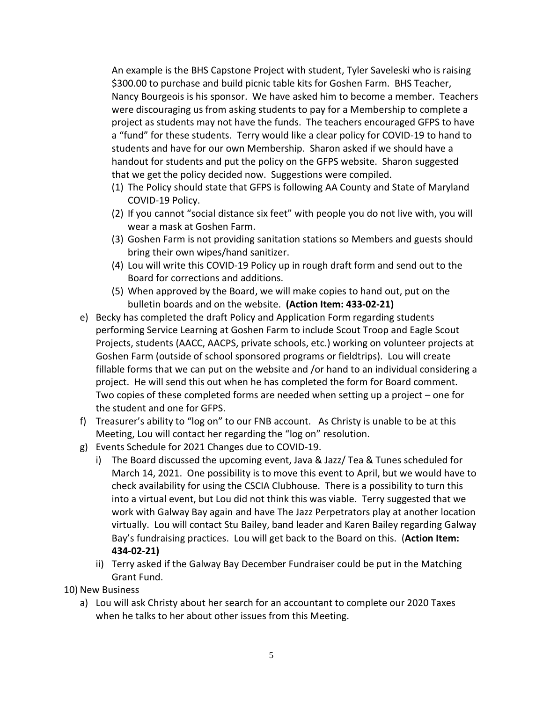An example is the BHS Capstone Project with student, Tyler Saveleski who is raising \$300.00 to purchase and build picnic table kits for Goshen Farm. BHS Teacher, Nancy Bourgeois is his sponsor. We have asked him to become a member. Teachers were discouraging us from asking students to pay for a Membership to complete a project as students may not have the funds. The teachers encouraged GFPS to have a "fund" for these students. Terry would like a clear policy for COVID-19 to hand to students and have for our own Membership. Sharon asked if we should have a handout for students and put the policy on the GFPS website. Sharon suggested that we get the policy decided now. Suggestions were compiled.

- (1) The Policy should state that GFPS is following AA County and State of Maryland COVID-19 Policy.
- (2) If you cannot "social distance six feet" with people you do not live with, you will wear a mask at Goshen Farm.
- (3) Goshen Farm is not providing sanitation stations so Members and guests should bring their own wipes/hand sanitizer.
- (4) Lou will write this COVID-19 Policy up in rough draft form and send out to the Board for corrections and additions.
- (5) When approved by the Board, we will make copies to hand out, put on the bulletin boards and on the website. **(Action Item: 433-02-21)**
- e) Becky has completed the draft Policy and Application Form regarding students performing Service Learning at Goshen Farm to include Scout Troop and Eagle Scout Projects, students (AACC, AACPS, private schools, etc.) working on volunteer projects at Goshen Farm (outside of school sponsored programs or fieldtrips). Lou will create fillable forms that we can put on the website and /or hand to an individual considering a project. He will send this out when he has completed the form for Board comment. Two copies of these completed forms are needed when setting up a project – one for the student and one for GFPS.
- f) Treasurer's ability to "log on" to our FNB account.As Christy is unable to be at this Meeting, Lou will contact her regarding the "log on" resolution.
- g) Events Schedule for 2021 Changes due to COVID-19.
	- i) The Board discussed the upcoming event, Java & Jazz/ Tea & Tunes scheduled for March 14, 2021. One possibility is to move this event to April, but we would have to check availability for using the CSCIA Clubhouse. There is a possibility to turn this into a virtual event, but Lou did not think this was viable. Terry suggested that we work with Galway Bay again and have The Jazz Perpetrators play at another location virtually. Lou will contact Stu Bailey, band leader and Karen Bailey regarding Galway Bay's fundraising practices. Lou will get back to the Board on this. (**Action Item: 434-02-21)**
	- ii) Terry asked if the Galway Bay December Fundraiser could be put in the Matching Grant Fund.
- 10) New Business
	- a) Lou will ask Christy about her search for an accountant to complete our 2020 Taxes when he talks to her about other issues from this Meeting.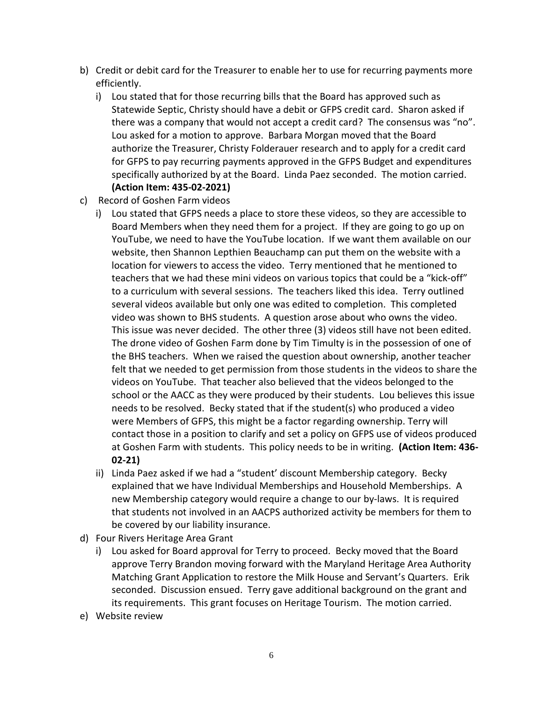- b) Credit or debit card for the Treasurer to enable her to use for recurring payments more efficiently.
	- i) Lou stated that for those recurring bills that the Board has approved such as Statewide Septic, Christy should have a debit or GFPS credit card. Sharon asked if there was a company that would not accept a credit card? The consensus was "no". Lou asked for a motion to approve. Barbara Morgan moved that the Board authorize the Treasurer, Christy Folderauer research and to apply for a credit card for GFPS to pay recurring payments approved in the GFPS Budget and expenditures specifically authorized by at the Board. Linda Paez seconded. The motion carried. **(Action Item: 435-02-2021)**
- c) Record of Goshen Farm videos
	- i) Lou stated that GFPS needs a place to store these videos, so they are accessible to Board Members when they need them for a project. If they are going to go up on YouTube, we need to have the YouTube location. If we want them available on our website, then Shannon Lepthien Beauchamp can put them on the website with a location for viewers to access the video. Terry mentioned that he mentioned to teachers that we had these mini videos on various topics that could be a "kick-off" to a curriculum with several sessions. The teachers liked this idea. Terry outlined several videos available but only one was edited to completion. This completed video was shown to BHS students. A question arose about who owns the video. This issue was never decided. The other three (3) videos still have not been edited. The drone video of Goshen Farm done by Tim Timulty is in the possession of one of the BHS teachers. When we raised the question about ownership, another teacher felt that we needed to get permission from those students in the videos to share the videos on YouTube. That teacher also believed that the videos belonged to the school or the AACC as they were produced by their students. Lou believes this issue needs to be resolved. Becky stated that if the student(s) who produced a video were Members of GFPS, this might be a factor regarding ownership. Terry will contact those in a position to clarify and set a policy on GFPS use of videos produced at Goshen Farm with students. This policy needs to be in writing. **(Action Item: 436- 02-21)**
	- ii) Linda Paez asked if we had a "student' discount Membership category. Becky explained that we have Individual Memberships and Household Memberships. A new Membership category would require a change to our by-laws. It is required that students not involved in an AACPS authorized activity be members for them to be covered by our liability insurance.
- d) Four Rivers Heritage Area Grant
	- i) Lou asked for Board approval for Terry to proceed. Becky moved that the Board approve Terry Brandon moving forward with the Maryland Heritage Area Authority Matching Grant Application to restore the Milk House and Servant's Quarters. Erik seconded. Discussion ensued. Terry gave additional background on the grant and its requirements. This grant focuses on Heritage Tourism. The motion carried.
- e) Website review